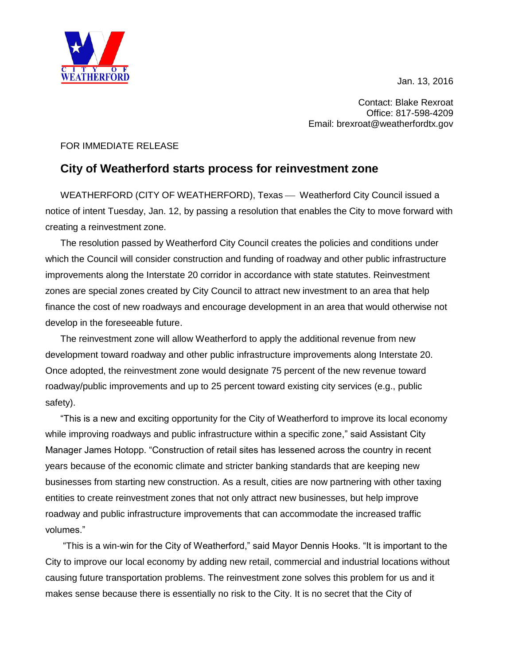Jan. 13, 2016



Contact: Blake Rexroat Office: 817-598-4209 Email: brexroat@weatherfordtx.gov

## FOR IMMEDIATE RELEASE

## **City of Weatherford starts process for reinvestment zone**

WEATHERFORD (CITY OF WEATHERFORD), Texas — Weatherford City Council issued a notice of intent Tuesday, Jan. 12, by passing a resolution that enables the City to move forward with creating a reinvestment zone.

The resolution passed by Weatherford City Council creates the policies and conditions under which the Council will consider construction and funding of roadway and other public infrastructure improvements along the Interstate 20 corridor in accordance with state statutes. Reinvestment zones are special zones created by City Council to attract new investment to an area that help finance the cost of new roadways and encourage development in an area that would otherwise not develop in the foreseeable future.

The reinvestment zone will allow Weatherford to apply the additional revenue from new development toward roadway and other public infrastructure improvements along Interstate 20. Once adopted, the reinvestment zone would designate 75 percent of the new revenue toward roadway/public improvements and up to 25 percent toward existing city services (e.g., public safety).

"This is a new and exciting opportunity for the City of Weatherford to improve its local economy while improving roadways and public infrastructure within a specific zone," said Assistant City Manager James Hotopp. "Construction of retail sites has lessened across the country in recent years because of the economic climate and stricter banking standards that are keeping new businesses from starting new construction. As a result, cities are now partnering with other taxing entities to create reinvestment zones that not only attract new businesses, but help improve roadway and public infrastructure improvements that can accommodate the increased traffic volumes."

"This is a win-win for the City of Weatherford," said Mayor Dennis Hooks. "It is important to the City to improve our local economy by adding new retail, commercial and industrial locations without causing future transportation problems. The reinvestment zone solves this problem for us and it makes sense because there is essentially no risk to the City. It is no secret that the City of